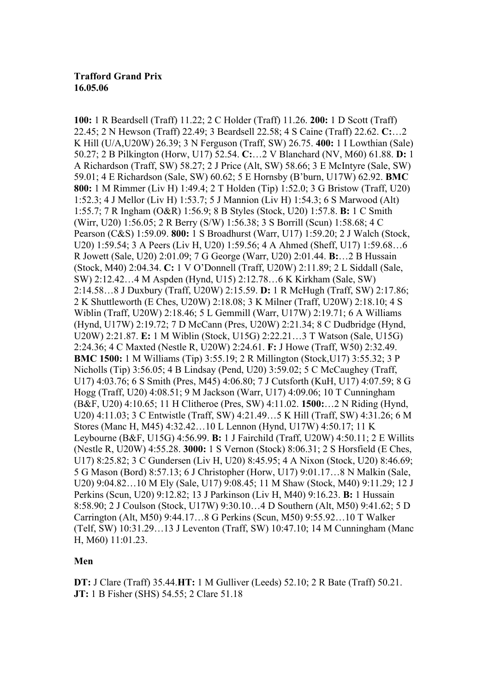## **Trafford Grand Prix 16.05.06**

**100:** 1 R Beardsell (Traff) 11.22; 2 C Holder (Traff) 11.26. **200:** 1 D Scott (Traff) 22.45; 2 N Hewson (Traff) 22.49; 3 Beardsell 22.58; 4 S Caine (Traff) 22.62. **C:**…2 K Hill (U/A,U20W) 26.39; 3 N Ferguson (Traff, SW) 26.75. **400:** 1 I Lowthian (Sale) 50.27; 2 B Pilkington (Horw, U17) 52.54. **C:**…2 V Blanchard (NV, M60) 61.88. **D:** 1 A Richardson (Traff, SW) 58.27; 2 J Price (Alt, SW) 58.66; 3 E McIntyre (Sale, SW) 59.01; 4 E Richardson (Sale, SW) 60.62; 5 E Hornsby (B'burn, U17W) 62.92. **BMC 800:** 1 M Rimmer (Liv H) 1:49.4; 2 T Holden (Tip) 1:52.0; 3 G Bristow (Traff, U20) 1:52.3; 4 J Mellor (Liv H) 1:53.7; 5 J Mannion (Liv H) 1:54.3; 6 S Marwood (Alt) 1:55.7; 7 R Ingham (O&R) 1:56.9; 8 B Styles (Stock, U20) 1:57.8. **B:** 1 C Smith (Wirr, U20) 1:56.05; 2 R Berry (S/W) 1:56.38; 3 S Borrill (Scun) 1:58.68; 4 C Pearson (C&S) 1:59.09. **800:** 1 S Broadhurst (Warr, U17) 1:59.20; 2 J Walch (Stock, U20) 1:59.54; 3 A Peers (Liv H, U20) 1:59.56; 4 A Ahmed (Sheff, U17) 1:59.68…6 R Jowett (Sale, U20) 2:01.09; 7 G George (Warr, U20) 2:01.44. **B:**…2 B Hussain (Stock, M40) 2:04.34. **C:** 1 V O'Donnell (Traff, U20W) 2:11.89; 2 L Siddall (Sale, SW) 2:12.42…4 M Aspden (Hynd, U15) 2:12.78…6 K Kirkham (Sale, SW) 2:14.58…8 J Duxbury (Traff, U20W) 2:15.59. **D:** 1 R McHugh (Traff, SW) 2:17.86; 2 K Shuttleworth (E Ches, U20W) 2:18.08; 3 K Milner (Traff, U20W) 2:18.10; 4 S Wiblin (Traff, U20W) 2:18.46; 5 L Gemmill (Warr, U17W) 2:19.71; 6 A Williams (Hynd, U17W) 2:19.72; 7 D McCann (Pres, U20W) 2:21.34; 8 C Dudbridge (Hynd, U20W) 2:21.87. **E:** 1 M Wiblin (Stock, U15G) 2:22.21…3 T Watson (Sale, U15G) 2:24.36; 4 C Maxted (Nestle R, U20W) 2:24.61. **F:** J Howe (Traff, W50) 2:32.49. **BMC 1500:** 1 M Williams (Tip) 3:55.19; 2 R Millington (Stock,U17) 3:55.32; 3 P Nicholls (Tip) 3:56.05; 4 B Lindsay (Pend, U20) 3:59.02; 5 C McCaughey (Traff, U17) 4:03.76; 6 S Smith (Pres, M45) 4:06.80; 7 J Cutsforth (KuH, U17) 4:07.59; 8 G Hogg (Traff, U20) 4:08.51; 9 M Jackson (Warr, U17) 4:09.06; 10 T Cunningham (B&F, U20) 4:10.65; 11 H Clitheroe (Pres, SW) 4:11.02. **1500:**…2 N Riding (Hynd, U20) 4:11.03; 3 C Entwistle (Traff, SW) 4:21.49…5 K Hill (Traff, SW) 4:31.26; 6 M Stores (Manc H, M45) 4:32.42…10 L Lennon (Hynd, U17W) 4:50.17; 11 K Leybourne (B&F, U15G) 4:56.99. **B:** 1 J Fairchild (Traff, U20W) 4:50.11; 2 E Willits (Nestle R, U20W) 4:55.28. **3000:** 1 S Vernon (Stock) 8:06.31; 2 S Horsfield (E Ches, U17) 8:25.82; 3 C Gundersen (Liv H, U20) 8:45.95; 4 A Nixon (Stock, U20) 8:46.69; 5 G Mason (Bord) 8:57.13; 6 J Christopher (Horw, U17) 9:01.17…8 N Malkin (Sale, U20) 9:04.82…10 M Ely (Sale, U17) 9:08.45; 11 M Shaw (Stock, M40) 9:11.29; 12 J Perkins (Scun, U20) 9:12.82; 13 J Parkinson (Liv H, M40) 9:16.23. **B:** 1 Hussain 8:58.90; 2 J Coulson (Stock, U17W) 9:30.10…4 D Southern (Alt, M50) 9:41.62; 5 D Carrington (Alt, M50) 9:44.17…8 G Perkins (Scun, M50) 9:55.92…10 T Walker (Telf, SW) 10:31.29…13 J Leventon (Traff, SW) 10:47.10; 14 M Cunningham (Manc H, M60) 11:01.23.

## **Men**

**DT:** J Clare (Traff) 35.44.**HT:** 1 M Gulliver (Leeds) 52.10; 2 R Bate (Traff) 50.21. **JT:** 1 B Fisher (SHS) 54.55; 2 Clare 51.18